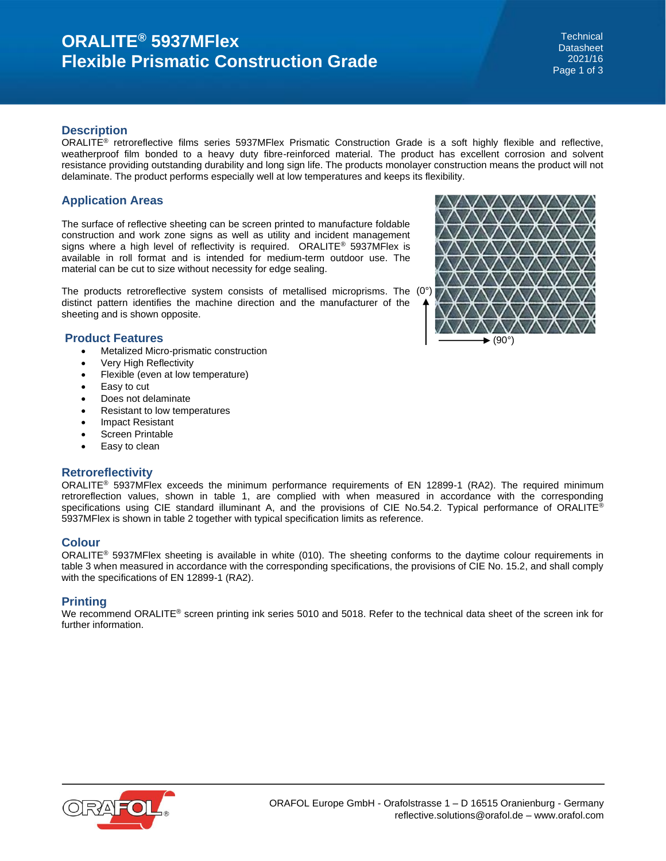# **ORALITE® 5937MFlex Flexible Prismatic Construction Grade**

**Technical Datasheet** 2021/16 Page 1 of 3

### **Description**

ORALITE<sup>®</sup> retroreflective films series 5937MFlex Prismatic Construction Grade is a soft highly flexible and reflective, weatherproof film bonded to a heavy duty fibre-reinforced material. The product has excellent corrosion and solvent resistance providing outstanding durability and long sign life. The products monolayer construction means the product will not delaminate. The product performs especially well at low temperatures and keeps its flexibility.

## **Application Areas**

The surface of reflective sheeting can be screen printed to manufacture foldable construction and work zone signs as well as utility and incident management signs where a high level of reflectivity is required. ORALITE® 5937MFlex is available in roll format and is intended for medium-term outdoor use. The material can be cut to size without necessity for edge sealing.

The products retroreflective system consists of metallised microprisms. The (0°) distinct pattern identifies the machine direction and the manufacturer of the sheeting and is shown opposite.

### **Product Features**

- Metalized Micro-prismatic construction
- Very High Reflectivity
- Flexible (even at low temperature)
- Easy to cut
- Does not delaminate
- Resistant to low temperatures
- Impact Resistant
- Screen Printable
- Easy to clean

## **Retroreflectivity**

ORALITE® 5937MFlex exceeds the minimum performance requirements of EN 12899-1 (RA2). The required minimum retroreflection values, shown in table 1, are complied with when measured in accordance with the corresponding specifications using CIE standard illuminant A, and the provisions of CIE No.54.2. Typical performance of ORALITE® 5937MFlex is shown in table 2 together with typical specification limits as reference.

## **Colour**

ORALITE® 5937MFlex sheeting is available in white (010). The sheeting conforms to the daytime colour requirements in table 3 when measured in accordance with the corresponding specifications, the provisions of CIE No. 15.2, and shall comply with the specifications of EN 12899-1 (RA2).

## **Printing**

We recommend ORALITE® screen printing ink series 5010 and 5018. Refer to the technical data sheet of the screen ink for further information.



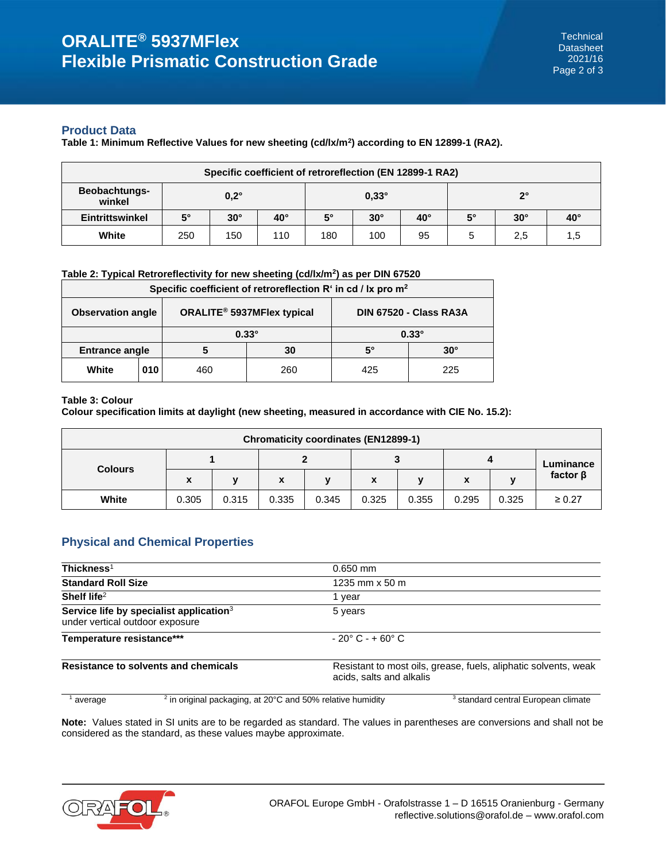## **Product Data**

**Table 1: Minimum Reflective Values for new sheeting (cd/lx/m<sup>2</sup> ) according to EN 12899-1 (RA2).**

| Specific coefficient of retroreflection (EN 12899-1 RA2) |             |             |              |             |              |              |           |             |              |
|----------------------------------------------------------|-------------|-------------|--------------|-------------|--------------|--------------|-----------|-------------|--------------|
| <b>Beobachtungs-</b><br>winkel                           |             | $0,2^\circ$ |              |             | $0.33^\circ$ |              |           | $2^{\circ}$ |              |
| <b>Eintrittswinkel</b>                                   | $5^{\circ}$ | $30^\circ$  | $40^{\circ}$ | $5^{\circ}$ | $30^\circ$   | $40^{\circ}$ | $5^\circ$ | $30^\circ$  | $40^{\circ}$ |
| White                                                    | 250         | 150         | 110          | 180         | 100          | 95           |           | 2,5         | 1,5          |

### **Table 2: Typical Retroreflectivity for new sheeting (cd/lx/m<sup>2</sup> ) as per DIN 67520**

| Specific coefficient of retroreflection $R^t$ in cd / lx pro $m^2$ |     |     |                                        |                               |            |  |
|--------------------------------------------------------------------|-----|-----|----------------------------------------|-------------------------------|------------|--|
| <b>Observation angle</b>                                           |     |     | ORALITE <sup>®</sup> 5937MFlex typical | <b>DIN 67520 - Class RA3A</b> |            |  |
|                                                                    |     |     | $0.33^\circ$                           | $0.33^\circ$                  |            |  |
| <b>Entrance angle</b>                                              |     |     | 30                                     | 5°                            | $30^\circ$ |  |
| White                                                              | 010 | 460 | 260                                    | 425                           | 225        |  |

### **Table 3: Colour**

**Colour specification limits at daylight (new sheeting, measured in accordance with CIE No. 15.2):**

| <b>Chromaticity coordinates (EN12899-1)</b> |       |       |       |              |       |              |       |              |                |
|---------------------------------------------|-------|-------|-------|--------------|-------|--------------|-------|--------------|----------------|
| <b>Colours</b>                              |       |       |       |              | w     |              |       |              | Luminance      |
|                                             | X     |       | x     | $\mathbf{v}$ | x     | $\mathbf{v}$ | X     | $\mathbf{v}$ | factor $\beta$ |
| White                                       | 0.305 | 0.315 | 0.335 | 0.345        | 0.325 | 0.355        | 0.295 | 0.325        | $\geq 0.27$    |

## **Physical and Chemical Properties**

| Thickness $1$                   |                                                                        | $0.650$ mm                                                                                  |                                                |  |  |  |
|---------------------------------|------------------------------------------------------------------------|---------------------------------------------------------------------------------------------|------------------------------------------------|--|--|--|
| <b>Standard Roll Size</b>       |                                                                        | 1235 mm x 50 m                                                                              |                                                |  |  |  |
| Shelf life $2$                  |                                                                        | vear                                                                                        |                                                |  |  |  |
| under vertical outdoor exposure | Service life by specialist application <sup>3</sup>                    | 5 years                                                                                     |                                                |  |  |  |
| Temperature resistance***       |                                                                        | $-20^{\circ}$ C - + 60 $^{\circ}$ C                                                         |                                                |  |  |  |
|                                 | Resistance to solvents and chemicals                                   | Resistant to most oils, grease, fuels, aliphatic solvents, weak<br>acids, salts and alkalis |                                                |  |  |  |
| average                         | $2$ in original packaging, at 20 $\degree$ C and 50% relative humidity |                                                                                             | <sup>3</sup> standard central European climate |  |  |  |

**Note:** Values stated in SI units are to be regarded as standard. The values in parentheses are conversions and shall not be considered as the standard, as these values maybe approximate.